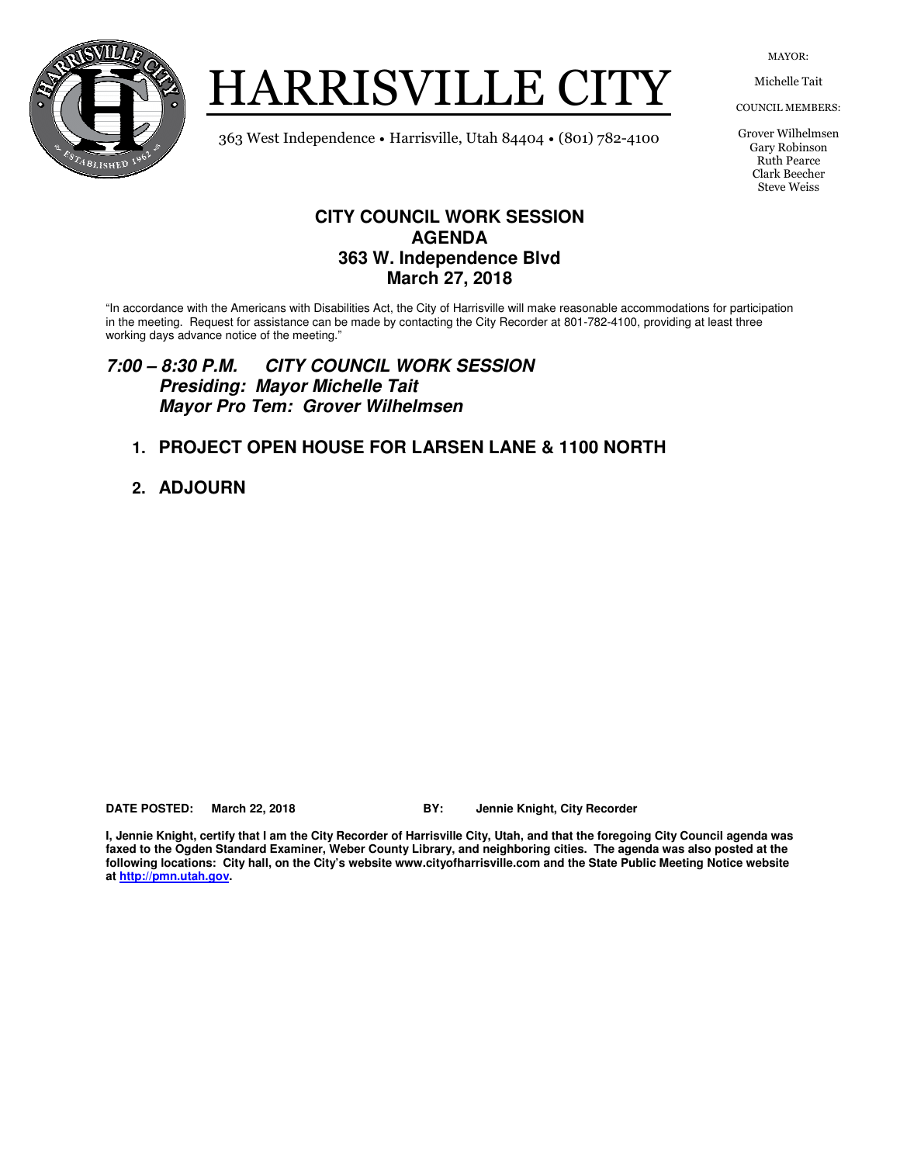

HARRISVILLE CITY

MAYOR:

Michelle Tait

COUNCIL MEMBERS:

Grover Wilhelmsen Gary Robinson Ruth Pearce Clark Beecher Steve Weiss

363 West Independence • Harrisville, Utah 84404 • (801) 782-4100

### **CITY COUNCIL WORK SESSION AGENDA 363 W. Independence Blvd March 27, 2018**

"In accordance with the Americans with Disabilities Act, the City of Harrisville will make reasonable accommodations for participation in the meeting. Request for assistance can be made by contacting the City Recorder at 801-782-4100, providing at least three working days advance notice of the meeting."

#### **7:00 – 8:30 P.M. CITY COUNCIL WORK SESSION Presiding: Mayor Michelle Tait Mayor Pro Tem: Grover Wilhelmsen**

### **1. PROJECT OPEN HOUSE FOR LARSEN LANE & 1100 NORTH**

**2. ADJOURN** 

**DATE POSTED: March 22, 2018 BY: Jennie Knight, City Recorder** 

**I, Jennie Knight, certify that I am the City Recorder of Harrisville City, Utah, and that the foregoing City Council agenda was faxed to the Ogden Standard Examiner, Weber County Library, and neighboring cities. The agenda was also posted at the following locations: City hall, on the City's website www.cityofharrisville.com and the State Public Meeting Notice website at http://pmn.utah.gov.**